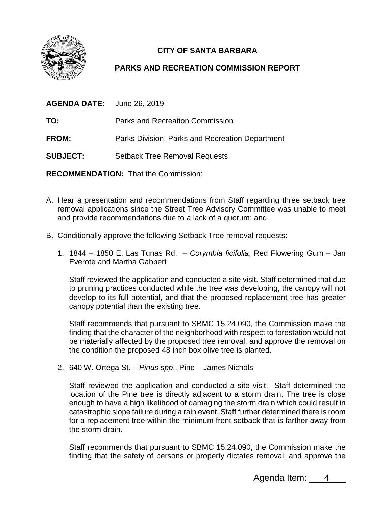

## **CITY OF SANTA BARBARA**

## **PARKS AND RECREATION COMMISSION REPORT**

| <b>AGENDA DATE:</b> June 26, 2019 |                                                 |
|-----------------------------------|-------------------------------------------------|
| TO:                               | Parks and Recreation Commission                 |
| FROM:                             | Parks Division, Parks and Recreation Department |
| <b>SUBJECT:</b>                   | <b>Setback Tree Removal Requests</b>            |

**RECOMMENDATION:** That the Commission:

- A. Hear a presentation and recommendations from Staff regarding three setback tree removal applications since the Street Tree Advisory Committee was unable to meet and provide recommendations due to a lack of a quorum; and
- B. Conditionally approve the following Setback Tree removal requests:
	- 1. 1844 1850 E. Las Tunas Rd. *Corymbia ficifolia*, Red Flowering Gum Jan Everote and Martha Gabbert

Staff reviewed the application and conducted a site visit. Staff determined that due to pruning practices conducted while the tree was developing, the canopy will not develop to its full potential, and that the proposed replacement tree has greater canopy potential than the existing tree.

Staff recommends that pursuant to SBMC 15.24.090, the Commission make the finding that the character of the neighborhood with respect to forestation would not be materially affected by the proposed tree removal, and approve the removal on the condition the proposed 48 inch box olive tree is planted.

2. 640 W. Ortega St. – *Pinus spp*., Pine – James Nichols

Staff reviewed the application and conducted a site visit. Staff determined the location of the Pine tree is directly adjacent to a storm drain. The tree is close enough to have a high likelihood of damaging the storm drain which could result in catastrophic slope failure during a rain event. Staff further determined there is room for a replacement tree within the minimum front setback that is farther away from the storm drain.

Staff recommends that pursuant to SBMC 15.24.090, the Commission make the finding that the safety of persons or property dictates removal, and approve the

Agenda Item: 4